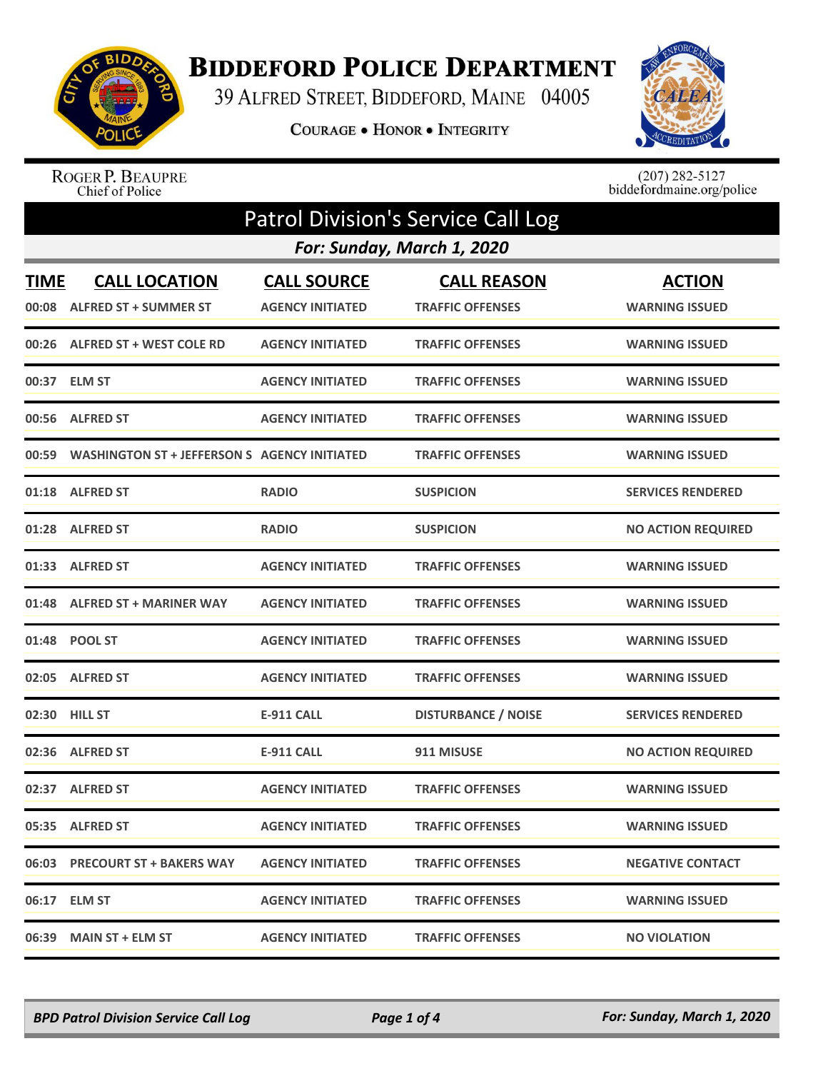

## **BIDDEFORD POLICE DEPARTMENT**

39 ALFRED STREET, BIDDEFORD, MAINE 04005

COURAGE . HONOR . INTEGRITY



ROGER P. BEAUPRE<br>Chief of Police

 $(207)$  282-5127<br>biddefordmaine.org/police

| <b>Patrol Division's Service Call Log</b> |                                                      |                                               |                                               |                                        |  |  |
|-------------------------------------------|------------------------------------------------------|-----------------------------------------------|-----------------------------------------------|----------------------------------------|--|--|
|                                           | For: Sunday, March 1, 2020                           |                                               |                                               |                                        |  |  |
| <b>TIME</b><br>00:08                      | <b>CALL LOCATION</b><br><b>ALFRED ST + SUMMER ST</b> | <b>CALL SOURCE</b><br><b>AGENCY INITIATED</b> | <b>CALL REASON</b><br><b>TRAFFIC OFFENSES</b> | <b>ACTION</b><br><b>WARNING ISSUED</b> |  |  |
| 00:26                                     | <b>ALFRED ST + WEST COLE RD</b>                      | <b>AGENCY INITIATED</b>                       | <b>TRAFFIC OFFENSES</b>                       | <b>WARNING ISSUED</b>                  |  |  |
|                                           | 00:37 ELM ST                                         | <b>AGENCY INITIATED</b>                       | <b>TRAFFIC OFFENSES</b>                       | <b>WARNING ISSUED</b>                  |  |  |
| 00:56                                     | <b>ALFRED ST</b>                                     | <b>AGENCY INITIATED</b>                       | <b>TRAFFIC OFFENSES</b>                       | <b>WARNING ISSUED</b>                  |  |  |
| 00:59                                     | <b>WASHINGTON ST + JEFFERSON S AGENCY INITIATED</b>  |                                               | <b>TRAFFIC OFFENSES</b>                       | <b>WARNING ISSUED</b>                  |  |  |
| 01:18                                     | <b>ALFRED ST</b>                                     | <b>RADIO</b>                                  | <b>SUSPICION</b>                              | <b>SERVICES RENDERED</b>               |  |  |
|                                           | 01:28 ALFRED ST                                      | <b>RADIO</b>                                  | <b>SUSPICION</b>                              | <b>NO ACTION REQUIRED</b>              |  |  |
| 01:33                                     | <b>ALFRED ST</b>                                     | <b>AGENCY INITIATED</b>                       | <b>TRAFFIC OFFENSES</b>                       | <b>WARNING ISSUED</b>                  |  |  |
|                                           | 01:48 ALFRED ST + MARINER WAY                        | <b>AGENCY INITIATED</b>                       | <b>TRAFFIC OFFENSES</b>                       | <b>WARNING ISSUED</b>                  |  |  |
|                                           | 01:48 POOL ST                                        | <b>AGENCY INITIATED</b>                       | <b>TRAFFIC OFFENSES</b>                       | <b>WARNING ISSUED</b>                  |  |  |
| 02:05                                     | <b>ALFRED ST</b>                                     | <b>AGENCY INITIATED</b>                       | <b>TRAFFIC OFFENSES</b>                       | <b>WARNING ISSUED</b>                  |  |  |
| 02:30                                     | <b>HILL ST</b>                                       | <b>E-911 CALL</b>                             | <b>DISTURBANCE / NOISE</b>                    | <b>SERVICES RENDERED</b>               |  |  |
|                                           | 02:36 ALFRED ST                                      | <b>E-911 CALL</b>                             | 911 MISUSE                                    | <b>NO ACTION REQUIRED</b>              |  |  |
|                                           | 02:37 ALFRED ST                                      | <b>AGENCY INITIATED</b>                       | <b>TRAFFIC OFFENSES</b>                       | <b>WARNING ISSUED</b>                  |  |  |
|                                           | 05:35 ALFRED ST                                      | <b>AGENCY INITIATED</b>                       | <b>TRAFFIC OFFENSES</b>                       | <b>WARNING ISSUED</b>                  |  |  |
|                                           | 06:03 PRECOURT ST + BAKERS WAY                       | <b>AGENCY INITIATED</b>                       | <b>TRAFFIC OFFENSES</b>                       | <b>NEGATIVE CONTACT</b>                |  |  |
|                                           | 06:17 ELM ST                                         | <b>AGENCY INITIATED</b>                       | <b>TRAFFIC OFFENSES</b>                       | <b>WARNING ISSUED</b>                  |  |  |
|                                           | 06:39 MAIN ST + ELM ST                               | <b>AGENCY INITIATED</b>                       | <b>TRAFFIC OFFENSES</b>                       | <b>NO VIOLATION</b>                    |  |  |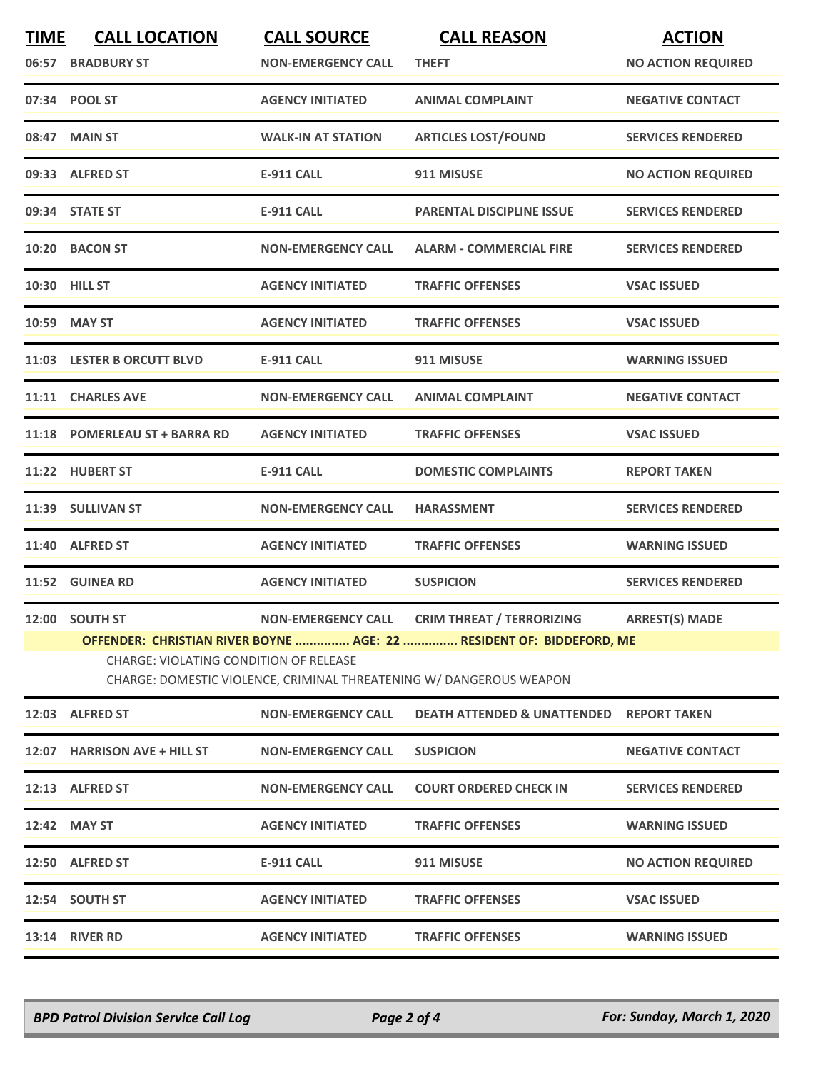| <b>TIME</b><br>06:57 | <b>CALL LOCATION</b><br><b>BRADBURY ST</b>                                                                                                                                                   | <b>CALL SOURCE</b><br><b>NON-EMERGENCY CALL</b> | <b>CALL REASON</b><br><b>THEFT</b>                  | <b>ACTION</b><br><b>NO ACTION REQUIRED</b> |
|----------------------|----------------------------------------------------------------------------------------------------------------------------------------------------------------------------------------------|-------------------------------------------------|-----------------------------------------------------|--------------------------------------------|
|                      | 07:34 POOL ST                                                                                                                                                                                | <b>AGENCY INITIATED</b>                         | <b>ANIMAL COMPLAINT</b>                             | <b>NEGATIVE CONTACT</b>                    |
|                      | 08:47 MAIN ST                                                                                                                                                                                | <b>WALK-IN AT STATION</b>                       | <b>ARTICLES LOST/FOUND</b>                          | <b>SERVICES RENDERED</b>                   |
|                      | 09:33 ALFRED ST                                                                                                                                                                              | <b>E-911 CALL</b>                               | 911 MISUSE                                          | <b>NO ACTION REQUIRED</b>                  |
|                      | 09:34 STATE ST                                                                                                                                                                               | <b>E-911 CALL</b>                               | <b>PARENTAL DISCIPLINE ISSUE</b>                    | <b>SERVICES RENDERED</b>                   |
|                      | 10:20 BACON ST                                                                                                                                                                               | <b>NON-EMERGENCY CALL</b>                       | <b>ALARM - COMMERCIAL FIRE</b>                      | <b>SERVICES RENDERED</b>                   |
|                      | 10:30 HILL ST                                                                                                                                                                                | <b>AGENCY INITIATED</b>                         | <b>TRAFFIC OFFENSES</b>                             | <b>VSAC ISSUED</b>                         |
|                      | 10:59 MAY ST                                                                                                                                                                                 | <b>AGENCY INITIATED</b>                         | <b>TRAFFIC OFFENSES</b>                             | <b>VSAC ISSUED</b>                         |
|                      | 11:03 LESTER B ORCUTT BLVD                                                                                                                                                                   | <b>E-911 CALL</b>                               | 911 MISUSE                                          | <b>WARNING ISSUED</b>                      |
|                      | 11:11 CHARLES AVE                                                                                                                                                                            | <b>NON-EMERGENCY CALL</b>                       | <b>ANIMAL COMPLAINT</b>                             | <b>NEGATIVE CONTACT</b>                    |
|                      | 11:18 POMERLEAU ST + BARRA RD                                                                                                                                                                | <b>AGENCY INITIATED</b>                         | <b>TRAFFIC OFFENSES</b>                             | <b>VSAC ISSUED</b>                         |
|                      | 11:22 HUBERT ST                                                                                                                                                                              | <b>E-911 CALL</b>                               | <b>DOMESTIC COMPLAINTS</b>                          | <b>REPORT TAKEN</b>                        |
|                      | 11:39 SULLIVAN ST                                                                                                                                                                            | <b>NON-EMERGENCY CALL</b>                       | <b>HARASSMENT</b>                                   | <b>SERVICES RENDERED</b>                   |
|                      | 11:40 ALFRED ST                                                                                                                                                                              | <b>AGENCY INITIATED</b>                         | <b>TRAFFIC OFFENSES</b>                             | <b>WARNING ISSUED</b>                      |
|                      | 11:52 GUINEA RD                                                                                                                                                                              | <b>AGENCY INITIATED</b>                         | <b>SUSPICION</b>                                    | <b>SERVICES RENDERED</b>                   |
|                      | 12:00 SOUTH ST                                                                                                                                                                               | <b>NON-EMERGENCY CALL</b>                       | <b>CRIM THREAT / TERRORIZING</b>                    | <b>ARREST(S) MADE</b>                      |
|                      | OFFENDER: CHRISTIAN RIVER BOYNE  AGE: 22  RESIDENT OF: BIDDEFORD, ME<br><b>CHARGE: VIOLATING CONDITION OF RELEASE</b><br>CHARGE: DOMESTIC VIOLENCE, CRIMINAL THREATENING W/ DANGEROUS WEAPON |                                                 |                                                     |                                            |
|                      | 12:03 ALFRED ST                                                                                                                                                                              | <b>NON-EMERGENCY CALL</b>                       | <b>DEATH ATTENDED &amp; UNATTENDED REPORT TAKEN</b> |                                            |
|                      | 12:07 HARRISON AVE + HILL ST                                                                                                                                                                 | <b>NON-EMERGENCY CALL</b>                       | <b>SUSPICION</b>                                    | <b>NEGATIVE CONTACT</b>                    |
|                      | 12:13 ALFRED ST                                                                                                                                                                              | <b>NON-EMERGENCY CALL</b>                       | <b>COURT ORDERED CHECK IN</b>                       | <b>SERVICES RENDERED</b>                   |
|                      | 12:42 MAY ST                                                                                                                                                                                 | <b>AGENCY INITIATED</b>                         | <b>TRAFFIC OFFENSES</b>                             | <b>WARNING ISSUED</b>                      |
|                      | 12:50 ALFRED ST                                                                                                                                                                              | <b>E-911 CALL</b>                               | 911 MISUSE                                          | <b>NO ACTION REQUIRED</b>                  |
|                      | 12:54 SOUTH ST                                                                                                                                                                               | <b>AGENCY INITIATED</b>                         | <b>TRAFFIC OFFENSES</b>                             | <b>VSAC ISSUED</b>                         |
|                      | <b>13:14 RIVER RD</b>                                                                                                                                                                        | <b>AGENCY INITIATED</b>                         | <b>TRAFFIC OFFENSES</b>                             | <b>WARNING ISSUED</b>                      |

*BPD Patrol Division Service Call Log Page 2 of 4 For: Sunday, March 1, 2020*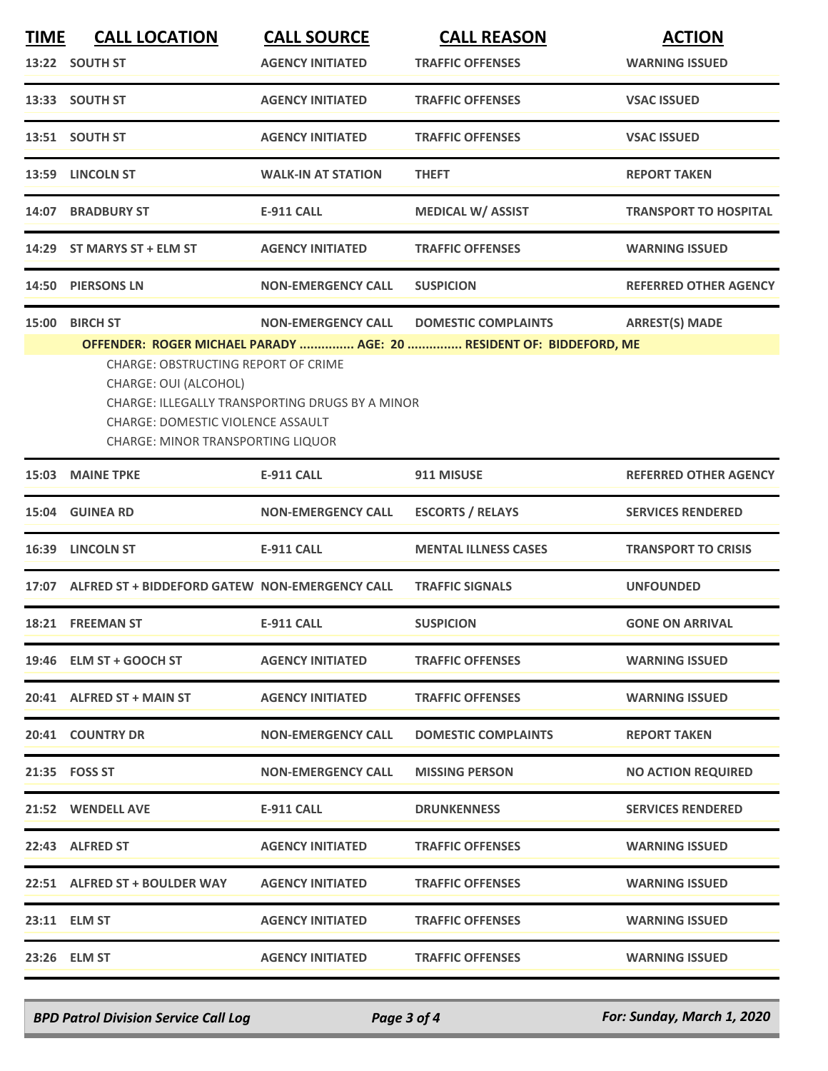| <b>TIME</b> | <b>CALL LOCATION</b><br>13:22 SOUTH ST                                                                                                                                  | <b>CALL SOURCE</b><br><b>AGENCY INITIATED</b>                                | <b>CALL REASON</b><br><b>TRAFFIC OFFENSES</b>                                                     | <b>ACTION</b><br><b>WARNING ISSUED</b> |
|-------------|-------------------------------------------------------------------------------------------------------------------------------------------------------------------------|------------------------------------------------------------------------------|---------------------------------------------------------------------------------------------------|----------------------------------------|
|             | 13:33 SOUTH ST                                                                                                                                                          | <b>AGENCY INITIATED</b>                                                      | <b>TRAFFIC OFFENSES</b>                                                                           | <b>VSAC ISSUED</b>                     |
|             | 13:51 SOUTH ST                                                                                                                                                          | <b>AGENCY INITIATED</b>                                                      | <b>TRAFFIC OFFENSES</b>                                                                           | <b>VSAC ISSUED</b>                     |
|             | 13:59 LINCOLN ST                                                                                                                                                        | <b>WALK-IN AT STATION</b>                                                    | <b>THEFT</b>                                                                                      | <b>REPORT TAKEN</b>                    |
|             | 14:07 BRADBURY ST                                                                                                                                                       | <b>E-911 CALL</b>                                                            | <b>MEDICAL W/ ASSIST</b>                                                                          | <b>TRANSPORT TO HOSPITAL</b>           |
|             | 14:29 ST MARYS ST + ELM ST                                                                                                                                              | <b>AGENCY INITIATED</b>                                                      | <b>TRAFFIC OFFENSES</b>                                                                           | <b>WARNING ISSUED</b>                  |
| 14:50       | <b>PIERSONS LN</b>                                                                                                                                                      | <b>NON-EMERGENCY CALL</b>                                                    | <b>SUSPICION</b>                                                                                  | <b>REFERRED OTHER AGENCY</b>           |
| 15:00       | <b>BIRCH ST</b><br>CHARGE: OBSTRUCTING REPORT OF CRIME<br>CHARGE: OUI (ALCOHOL)<br><b>CHARGE: DOMESTIC VIOLENCE ASSAULT</b><br><b>CHARGE: MINOR TRANSPORTING LIQUOR</b> | <b>NON-EMERGENCY CALL</b><br>CHARGE: ILLEGALLY TRANSPORTING DRUGS BY A MINOR | <b>DOMESTIC COMPLAINTS</b><br>OFFENDER: ROGER MICHAEL PARADY  AGE: 20  RESIDENT OF: BIDDEFORD, ME | <b>ARREST(S) MADE</b>                  |
| 15:03       | <b>MAINE TPKE</b>                                                                                                                                                       | <b>E-911 CALL</b>                                                            | 911 MISUSE                                                                                        | <b>REFERRED OTHER AGENCY</b>           |
| 15:04       | <b>GUINEA RD</b>                                                                                                                                                        | <b>NON-EMERGENCY CALL</b>                                                    | <b>ESCORTS / RELAYS</b>                                                                           | <b>SERVICES RENDERED</b>               |
|             | 16:39 LINCOLN ST                                                                                                                                                        | <b>E-911 CALL</b>                                                            | <b>MENTAL ILLNESS CASES</b>                                                                       | <b>TRANSPORT TO CRISIS</b>             |
|             | 17:07 ALFRED ST + BIDDEFORD GATEW NON-EMERGENCY CALL                                                                                                                    |                                                                              | <b>TRAFFIC SIGNALS</b>                                                                            | <b>UNFOUNDED</b>                       |
|             | 18:21 FREEMAN ST                                                                                                                                                        | <b>E-911 CALL</b>                                                            | <b>SUSPICION</b>                                                                                  | <b>GONE ON ARRIVAL</b>                 |
|             | $19:46$ ELM ST + GOOCH ST                                                                                                                                               | <b>AGENCY INITIATED</b>                                                      | <b>TRAFFIC OFFENSES</b>                                                                           | <b>WARNING ISSUED</b>                  |
|             | 20:41 ALFRED ST + MAIN ST                                                                                                                                               | <b>AGENCY INITIATED</b>                                                      | <b>TRAFFIC OFFENSES</b>                                                                           | <b>WARNING ISSUED</b>                  |
|             | 20:41 COUNTRY DR                                                                                                                                                        | <b>NON-EMERGENCY CALL</b>                                                    | <b>DOMESTIC COMPLAINTS</b>                                                                        | <b>REPORT TAKEN</b>                    |
|             | 21:35 FOSS ST                                                                                                                                                           | <b>NON-EMERGENCY CALL</b>                                                    | <b>MISSING PERSON</b>                                                                             | <b>NO ACTION REQUIRED</b>              |
|             | 21:52 WENDELL AVE                                                                                                                                                       | E-911 CALL                                                                   | <b>DRUNKENNESS</b>                                                                                | <b>SERVICES RENDERED</b>               |
|             | 22:43 ALFRED ST                                                                                                                                                         | <b>AGENCY INITIATED</b>                                                      | <b>TRAFFIC OFFENSES</b>                                                                           | <b>WARNING ISSUED</b>                  |
|             | 22:51 ALFRED ST + BOULDER WAY                                                                                                                                           | <b>AGENCY INITIATED</b>                                                      | <b>TRAFFIC OFFENSES</b>                                                                           | <b>WARNING ISSUED</b>                  |
|             | 23:11 ELM ST                                                                                                                                                            | <b>AGENCY INITIATED</b>                                                      | <b>TRAFFIC OFFENSES</b>                                                                           | <b>WARNING ISSUED</b>                  |
|             | 23:26 ELM ST                                                                                                                                                            | <b>AGENCY INITIATED</b>                                                      | <b>TRAFFIC OFFENSES</b>                                                                           | <b>WARNING ISSUED</b>                  |

*BPD Patrol Division Service Call Log Page 3 of 4 For: Sunday, March 1, 2020*